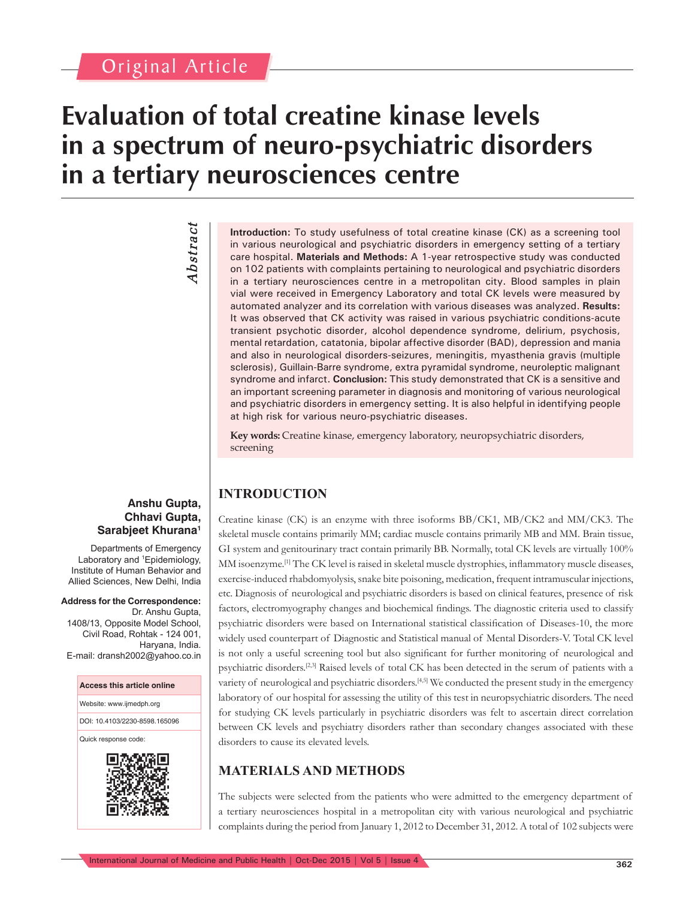## Original Article

## **Evaluation of total creatine kinase levels in a spectrum of neuro-psychiatric disorders in a tertiary neurosciences centre**

# *Abstract* **Abstract**

**Introduction:** To study usefulness of total creatine kinase (CK) as a screening tool in various neurological and psychiatric disorders in emergency setting of a tertiary care hospital. **Materials and Methods:** A 1-year retrospective study was conducted on 102 patients with complaints pertaining to neurological and psychiatric disorders in a tertiary neurosciences centre in a metropolitan city. Blood samples in plain vial were received in Emergency Laboratory and total CK levels were measured by automated analyzer and its correlation with various diseases was analyzed. **Results:** It was observed that CK activity was raised in various psychiatric conditions-acute transient psychotic disorder, alcohol dependence syndrome, delirium, psychosis, mental retardation, catatonia, bipolar affective disorder (BAD), depression and mania and also in neurological disorders-seizures, meningitis, myasthenia gravis (multiple sclerosis), Guillain-Barre syndrome, extra pyramidal syndrome, neuroleptic malignant syndrome and infarct. **Conclusion:** This study demonstrated that CK is a sensitive and an important screening parameter in diagnosis and monitoring of various neurological and psychiatric disorders in emergency setting. It is also helpful in identifying people at high risk for various neuro-psychiatric diseases.

**Key words:** Creatine kinase, emergency laboratory, neuropsychiatric disorders, screening

## **INTRODUCTION**

Creatine kinase (CK) is an enzyme with three isoforms BB/CK1, MB/CK2 and MM/CK3. The skeletal muscle contains primarily MM; cardiac muscle contains primarily MB and MM. Brain tissue, GI system and genitourinary tract contain primarily BB. Normally, total CK levels are virtually 100% MM isoenzyme.<sup>[1]</sup> The CK level is raised in skeletal muscle dystrophies, inflammatory muscle diseases, exercise-induced rhabdomyolysis, snake bite poisoning, medication, frequent intramuscular injections, etc. Diagnosis of neurological and psychiatric disorders is based on clinical features, presence of risk factors, electromyography changes and biochemical findings. The diagnostic criteria used to classify psychiatric disorders were based on International statistical classification of Diseases-10, the more widely used counterpart of Diagnostic and Statistical manual of Mental Disorders-V. Total CK level is not only a useful screening tool but also significant for further monitoring of neurological and psychiatric disorders.[2,3] Raised levels of total CK has been detected in the serum of patients with a variety of neurological and psychiatric disorders.[4,5] We conducted the present study in the emergency laboratory of our hospital for assessing the utility of this test in neuropsychiatric disorders. The need for studying CK levels particularly in psychiatric disorders was felt to ascertain direct correlation between CK levels and psychiatry disorders rather than secondary changes associated with these disorders to cause its elevated levels.

## **MATERIALS AND METHODS**

The subjects were selected from the patients who were admitted to the emergency department of a tertiary neurosciences hospital in a metropolitan city with various neurological and psychiatric complaints during the period from January 1, 2012 to December 31, 2012. A total of 102 subjects were

## **Anshu Gupta, Chhavi Gupta, Sarabjeet Khurana1**

Departments of Emergency Laboratory and <sup>1</sup> Epidemiology, Institute of Human Behavior and Allied Sciences, New Delhi, India

**Address for the Correspondence:** Dr. Anshu Gupta, 1408/13, Opposite Model School, Civil Road, Rohtak - 124 001, Haryana, India. E-mail: dransh2002@yahoo.co.in

#### **Access this article online**

Website: www.ijmedph.org

DOI: 10.4103/2230-8598.165096

Quick response code:

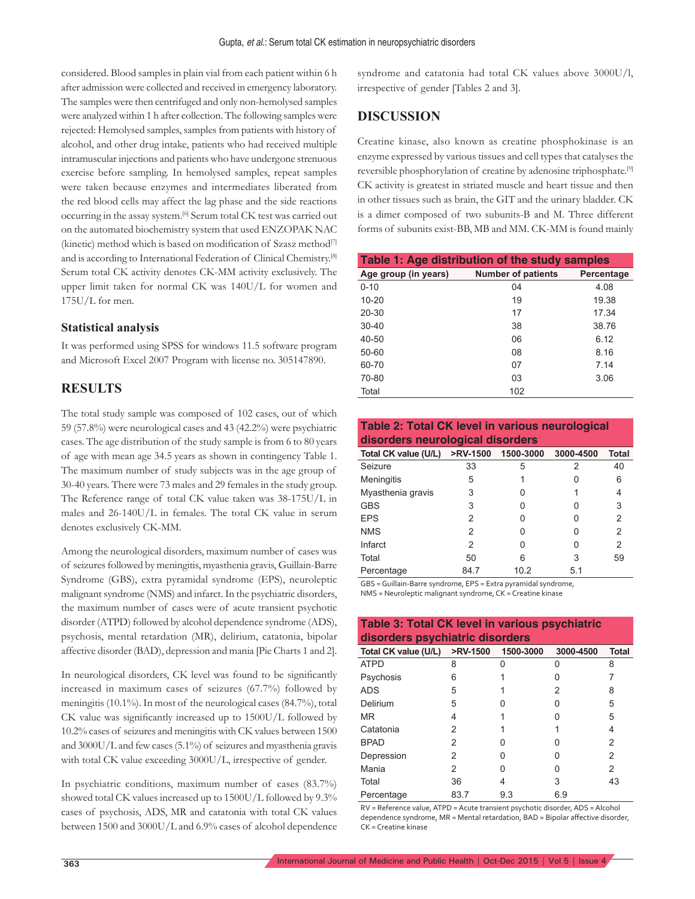considered. Blood samples in plain vial from each patient within 6 h after admission were collected and received in emergency laboratory. The samples were then centrifuged and only non-hemolysed samples were analyzed within 1 h after collection. The following samples were rejected: Hemolysed samples, samples from patients with history of alcohol, and other drug intake, patients who had received multiple intramuscular injections and patients who have undergone strenuous exercise before sampling. In hemolysed samples, repeat samples were taken because enzymes and intermediates liberated from the red blood cells may affect the lag phase and the side reactions occurring in the assay system.[6] Serum total CK test was carried out on the automated biochemistry system that used ENZOPAK NAC (kinetic) method which is based on modification of Szasz method[7] and is according to International Federation of Clinical Chemistry.[8] Serum total CK activity denotes CK-MM activity exclusively. The upper limit taken for normal CK was 140U/L for women and 175U/L for men.

#### **Statistical analysis**

It was performed using SPSS for windows 11.5 software program and Microsoft Excel 2007 Program with license no. 305147890.

## **RESULTS**

The total study sample was composed of 102 cases, out of which 59 (57.8%) were neurological cases and 43 (42.2%) were psychiatric cases. The age distribution of the study sample is from 6 to 80 years of age with mean age 34.5 years as shown in contingency Table 1. The maximum number of study subjects was in the age group of 30-40 years. There were 73 males and 29 females in the study group. The Reference range of total CK value taken was 38-175U/L in males and 26-140U/L in females. The total CK value in serum denotes exclusively CK-MM.

Among the neurological disorders, maximum number of cases was of seizures followed by meningitis, myasthenia gravis, Guillain-Barre Syndrome (GBS), extra pyramidal syndrome (EPS), neuroleptic malignant syndrome (NMS) and infarct. In the psychiatric disorders, the maximum number of cases were of acute transient psychotic disorder (ATPD) followed by alcohol dependence syndrome (ADS), psychosis, mental retardation (MR), delirium, catatonia, bipolar affective disorder (BAD), depression and mania [Pie Charts 1 and 2].

In neurological disorders, CK level was found to be significantly increased in maximum cases of seizures (67.7%) followed by meningitis (10.1%). In most of the neurological cases (84.7%), total CK value was significantly increased up to 1500U/L followed by 10.2% cases of seizures and meningitis with CK values between 1500 and 3000U/L and few cases (5.1%) of seizures and myasthenia gravis with total CK value exceeding 3000U/L, irrespective of gender.

In psychiatric conditions, maximum number of cases (83.7%) showed total CK values increased up to 1500U/L followed by 9.3% cases of psychosis, ADS, MR and catatonia with total CK values between 1500 and 3000U/L and 6.9% cases of alcohol dependence syndrome and catatonia had total CK values above 3000U/l, irrespective of gender [Tables 2 and 3].

### **DISCUSSION**

Creatine kinase, also known as creatine phosphokinase is an enzyme expressed by various tissues and cell types that catalyses the reversible phosphorylation of creatine by adenosine triphosphate.[9] CK activity is greatest in striated muscle and heart tissue and then in other tissues such as brain, the GIT and the urinary bladder. CK is a dimer composed of two subunits-B and M. Three different forms of subunits exist-BB, MB and MM. CK-MM is found mainly

| Table 1: Age distribution of the study samples |                           |            |  |  |  |  |
|------------------------------------------------|---------------------------|------------|--|--|--|--|
| Age group (in years)                           | <b>Number of patients</b> | Percentage |  |  |  |  |
| $0 - 10$                                       | 04                        | 4.08       |  |  |  |  |
| $10 - 20$                                      | 19                        | 19.38      |  |  |  |  |
| $20 - 30$                                      | 17                        | 17.34      |  |  |  |  |
| $30 - 40$                                      | 38                        | 38.76      |  |  |  |  |
| $40 - 50$                                      | 06                        | 6.12       |  |  |  |  |
| $50 - 60$                                      | 08                        | 8.16       |  |  |  |  |
| 60-70                                          | 07                        | 7.14       |  |  |  |  |
| 70-80                                          | 03                        | 3.06       |  |  |  |  |
| Total                                          | 102                       |            |  |  |  |  |

| Table 2: Total CK level in various neurological<br>disorders neurological disorders |      |      |           |              |  |  |  |
|-------------------------------------------------------------------------------------|------|------|-----------|--------------|--|--|--|
| Total CK value (U/L) > RV-1500 1500-3000                                            |      |      | 3000-4500 | <b>Total</b> |  |  |  |
| Seizure                                                                             | 33   | 5    | 2         | 40           |  |  |  |
| Meningitis                                                                          | 5    |      |           | 6            |  |  |  |
| Myasthenia gravis                                                                   | 3    |      |           |              |  |  |  |
| <b>GBS</b>                                                                          | 3    |      | Ω         | 3            |  |  |  |
| <b>EPS</b>                                                                          | 2    |      | Ω         | 2            |  |  |  |
| <b>NMS</b>                                                                          | 2    |      | Ω         | 2            |  |  |  |
| Infarct                                                                             | 2    |      | O         | 2            |  |  |  |
| Total                                                                               | 50   | 6    | 3         | 59           |  |  |  |
| Percentage                                                                          | 84.7 | 10.2 | 5.1       |              |  |  |  |

GBS = Guillain-Barre syndrome, EPS = Extra pyramidal syndrome, NMS = Neuroleptic malignant syndrome, CK = Creatine kinase

**Table 3: Total CK level in various psychiatric** 

| disorders psychiatric disorders |      |           |           |              |  |  |  |  |
|---------------------------------|------|-----------|-----------|--------------|--|--|--|--|
| Total CK value (U/L) >RV-1500   |      | 1500-3000 | 3000-4500 | <b>Total</b> |  |  |  |  |
| <b>ATPD</b>                     | 8    |           |           | 8            |  |  |  |  |
| Psychosis                       | 6    |           |           |              |  |  |  |  |
| <b>ADS</b>                      | 5    |           | 2         | 8            |  |  |  |  |
| Delirium                        | 5    |           |           | 5            |  |  |  |  |
| <b>MR</b>                       | 4    |           |           | 5            |  |  |  |  |
| Catatonia                       | 2    |           |           | 4            |  |  |  |  |
| <b>BPAD</b>                     | 2    |           |           | 2            |  |  |  |  |
| Depression                      | 2    |           |           | 2            |  |  |  |  |
| Mania                           | 2    |           |           | 2            |  |  |  |  |
| Total                           | 36   | 4         | 3         | 43           |  |  |  |  |
| Percentage                      | 83.7 | 9.3       | 6.9       |              |  |  |  |  |

RV = Reference value, ATPD = Acute transient psychotic disorder, ADS = Alcohol dependence syndrome, MR = Mental retardation, BAD = Bipolar affective disorder, CK = Creatine kinase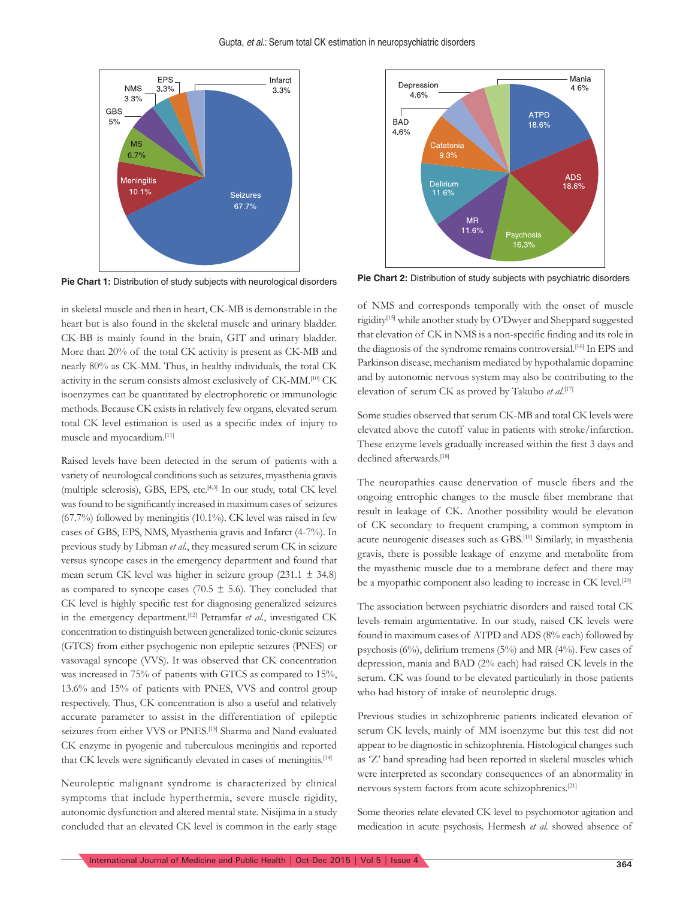

in skeletal muscle and then in heart, CK-MB is demonstrable in the heart but is also found in the skeletal muscle and urinary bladder. CK-BB is mainly found in the brain, GIT and urinary bladder. More than 20% of the total CK activity is present as CK-MB and nearly 80% as CK-MM. Thus, in healthy individuals, the total CK activity in the serum consists almost exclusively of CK-MM.[10] CK isoenzymes can be quantitated by electrophoretic or immunologic methods. Because CK exists in relatively few organs, elevated serum total CK level estimation is used as a specific index of injury to muscle and myocardium.[11]

Raised levels have been detected in the serum of patients with a variety of neurological conditions such as seizures, myasthenia gravis (multiple sclerosis), GBS, EPS, etc.[4,5] In our study, total CK level was found to be significantly increased in maximum cases of seizures  $(67.7%)$  followed by meningitis  $(10.1%)$ . CK level was raised in few cases of GBS, EPS, NMS, Myasthenia gravis and Infarct (4-7%). In previous study by Libman *et al*., they measured serum CK in seizure versus syncope cases in the emergency department and found that mean serum CK level was higher in seizure group  $(231.1 \pm 34.8)$ as compared to syncope cases (70.5  $\pm$  5.6). They concluded that CK level is highly specific test for diagnosing generalized seizures in the emergency department.[12] Petramfar *et al*., investigated CK concentration to distinguish between generalized tonic-clonic seizures (GTCS) from either psychogenic non epileptic seizures (PNES) or vasovagal syncope (VVS). It was observed that CK concentration was increased in 75% of patients with GTCS as compared to 15%, 13.6% and 15% of patients with PNES, VVS and control group respectively. Thus, CK concentration is also a useful and relatively accurate parameter to assist in the differentiation of epileptic seizures from either VVS or PNES.<sup>[13]</sup> Sharma and Nand evaluated CK enzyme in pyogenic and tuberculous meningitis and reported that CK levels were significantly elevated in cases of meningitis.<sup>[14]</sup>

Neuroleptic malignant syndrome is characterized by clinical symptoms that include hyperthermia, severe muscle rigidity, autonomic dysfunction and altered mental state. Nisijima in a study concluded that an elevated CK level is common in the early stage



**Pie Chart 1:** Distribution of study subjects with neurological disorders **Pie Chart 2:** Distribution of study subjects with psychiatric disorders

of NMS and corresponds temporally with the onset of muscle rigidity[15] while another study by O'Dwyer and Sheppard suggested that elevation of CK in NMS is a non-specific finding and its role in the diagnosis of the syndrome remains controversial.<sup>[16]</sup> In EPS and Parkinson disease, mechanism mediated by hypothalamic dopamine and by autonomic nervous system may also be contributing to the elevation of serum CK as proved by Takubo *et al*. [17]

Some studies observed that serum CK-MB and total CK levels were elevated above the cutoff value in patients with stroke/infarction. These enzyme levels gradually increased within the first 3 days and declined afterwards.<sup>[18]</sup>

The neuropathies cause denervation of muscle fibers and the ongoing entrophic changes to the muscle fiber membrane that result in leakage of CK. Another possibility would be elevation of CK secondary to frequent cramping, a common symptom in acute neurogenic diseases such as GBS.[19] Similarly, in myasthenia gravis, there is possible leakage of enzyme and metabolite from the myasthenic muscle due to a membrane defect and there may be a myopathic component also leading to increase in CK level.<sup>[20]</sup>

The association between psychiatric disorders and raised total CK levels remain argumentative. In our study, raised CK levels were found in maximum cases of ATPD and ADS (8% each) followed by psychosis (6%), delirium tremens (5%) and MR (4%). Few cases of depression, mania and BAD (2% each) had raised CK levels in the serum. CK was found to be elevated particularly in those patients who had history of intake of neuroleptic drugs.

Previous studies in schizophrenic patients indicated elevation of serum CK levels, mainly of MM isoenzyme but this test did not appear to be diagnostic in schizophrenia. Histological changes such as 'Z' band spreading had been reported in skeletal muscles which were interpreted as secondary consequences of an abnormality in nervous system factors from acute schizophrenics.[21]

Some theories relate elevated CK level to psychomotor agitation and medication in acute psychosis. Hermesh *et al*. showed absence of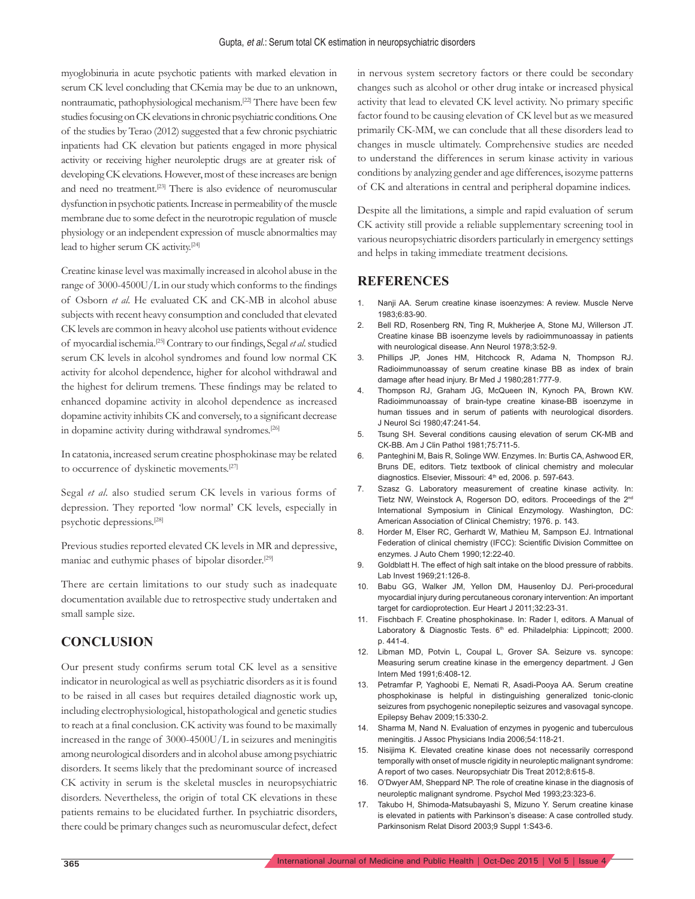myoglobinuria in acute psychotic patients with marked elevation in serum CK level concluding that CKemia may be due to an unknown, nontraumatic, pathophysiological mechanism.[22] There have been few studies focusing on CK elevations in chronic psychiatric conditions. One of the studies by Terao (2012) suggested that a few chronic psychiatric inpatients had CK elevation but patients engaged in more physical activity or receiving higher neuroleptic drugs are at greater risk of developing CK elevations. However, most of these increases are benign and need no treatment.[23] There is also evidence of neuromuscular dysfunction in psychotic patients. Increase in permeability of the muscle membrane due to some defect in the neurotropic regulation of muscle physiology or an independent expression of muscle abnormalties may lead to higher serum CK activity.[24]

Creatine kinase level was maximally increased in alcohol abuse in the range of 3000-4500U/L in our study which conforms to the findings of Osborn *et al*. He evaluated CK and CK-MB in alcohol abuse subjects with recent heavy consumption and concluded that elevated CK levels are common in heavy alcohol use patients without evidence of myocardial ischemia.[25] Contrary to our findings, Segal *et al*. studied serum CK levels in alcohol syndromes and found low normal CK activity for alcohol dependence, higher for alcohol withdrawal and the highest for delirum tremens. These findings may be related to enhanced dopamine activity in alcohol dependence as increased dopamine activity inhibits CK and conversely, to a significant decrease in dopamine activity during withdrawal syndromes.<sup>[26]</sup>

In catatonia, increased serum creatine phosphokinase may be related to occurrence of dyskinetic movements.[27]

Segal *et al*. also studied serum CK levels in various forms of depression. They reported 'low normal' CK levels, especially in psychotic depressions.[28]

Previous studies reported elevated CK levels in MR and depressive, maniac and euthymic phases of bipolar disorder.[29]

There are certain limitations to our study such as inadequate documentation available due to retrospective study undertaken and small sample size.

## **CONCLUSION**

Our present study confirms serum total CK level as a sensitive indicator in neurological as well as psychiatric disorders as it is found to be raised in all cases but requires detailed diagnostic work up, including electrophysiological, histopathological and genetic studies to reach at a final conclusion. CK activity was found to be maximally increased in the range of 3000-4500U/L in seizures and meningitis among neurological disorders and in alcohol abuse among psychiatric disorders. It seems likely that the predominant source of increased CK activity in serum is the skeletal muscles in neuropsychiatric disorders. Nevertheless, the origin of total CK elevations in these patients remains to be elucidated further. In psychiatric disorders, there could be primary changes such as neuromuscular defect, defect in nervous system secretory factors or there could be secondary changes such as alcohol or other drug intake or increased physical activity that lead to elevated CK level activity. No primary specific factor found to be causing elevation of CK level but as we measured primarily CK-MM, we can conclude that all these disorders lead to changes in muscle ultimately. Comprehensive studies are needed to understand the differences in serum kinase activity in various conditions by analyzing gender and age differences, isozyme patterns of CK and alterations in central and peripheral dopamine indices.

Despite all the limitations, a simple and rapid evaluation of serum CK activity still provide a reliable supplementary screening tool in various neuropsychiatric disorders particularly in emergency settings and helps in taking immediate treatment decisions.

## **REFERENCES**

- 1. Nanji AA. Serum creatine kinase isoenzymes: A review. Muscle Nerve 1983;6:83-90.
- 2. Bell RD, Rosenberg RN, Ting R, Mukherjee A, Stone MJ, Willerson JT. Creatine kinase BB isoenzyme levels by radioimmunoassay in patients with neurological disease. Ann Neurol 1978;3:52-9.
- 3. Phillips JP, Jones HM, Hitchcock R, Adama N, Thompson RJ. Radioimmunoassay of serum creatine kinase BB as index of brain damage after head injury. Br Med J 1980;281:777-9.
- 4. Thompson RJ, Graham JG, McQueen IN, Kynoch PA, Brown KW. Radioimmunoassay of brain-type creatine kinase-BB isoenzyme in human tissues and in serum of patients with neurological disorders. J Neurol Sci 1980;47:241-54.
- 5. Tsung SH. Several conditions causing elevation of serum CK-MB and CK-BB. Am J Clin Pathol 1981;75:711-5.
- 6. Panteghini M, Bais R, Solinge WW. Enzymes. In: Burtis CA, Ashwood ER, Bruns DE, editors. Tietz textbook of clinical chemistry and molecular diagnostics. Elsevier, Missouri: 4<sup>th</sup> ed, 2006. p. 597-643.
- 7. Szasz G. Laboratory measurement of creatine kinase activity. In: Tietz NW, Weinstock A, Rogerson DO, editors. Proceedings of the 2nd International Symposium in Clinical Enzymology. Washington, DC: American Association of Clinical Chemistry; 1976. p. 143.
- 8. Horder M, Elser RC, Gerhardt W, Mathieu M, Sampson EJ. Intrnational Federation of clinical chemistry (IFCC): Scientific Division Committee on enzymes. J Auto Chem 1990;12:22-40.
- 9. Goldblatt H. The effect of high salt intake on the blood pressure of rabbits. Lab Invest 1969;21:126-8.
- 10. Babu GG, Walker JM, Yellon DM, Hausenloy DJ. Peri-procedural myocardial injury during percutaneous coronary intervention: An important target for cardioprotection. Eur Heart J 2011;32:23-31.
- 11. Fischbach F. Creatine phosphokinase. In: Rader I, editors. A Manual of Laboratory & Diagnostic Tests. 6<sup>th</sup> ed. Philadelphia: Lippincott; 2000. p. 441-4.
- 12. Libman MD, Potvin L, Coupal L, Grover SA. Seizure vs. syncope: Measuring serum creatine kinase in the emergency department. J Gen Intern Med 1991;6:408-12.
- 13. Petramfar P, Yaghoobi E, Nemati R, Asadi-Pooya AA. Serum creatine phosphokinase is helpful in distinguishing generalized tonic-clonic seizures from psychogenic nonepileptic seizures and vasovagal syncope. Epilepsy Behav 2009;15:330-2.
- 14. Sharma M, Nand N. Evaluation of enzymes in pyogenic and tuberculous meningitis. J Assoc Physicians India 2006;54:118-21.
- 15. Nisijima K. Elevated creatine kinase does not necessarily correspond temporally with onset of muscle rigidity in neuroleptic malignant syndrome: A report of two cases. Neuropsychiatr Dis Treat 2012;8:615-8.
- 16. O'Dwyer AM, Sheppard NP. The role of creatine kinase in the diagnosis of neuroleptic malignant syndrome. Psychol Med 1993;23:323-6.
- 17. Takubo H, Shimoda-Matsubayashi S, Mizuno Y. Serum creatine kinase is elevated in patients with Parkinson's disease: A case controlled study. Parkinsonism Relat Disord 2003;9 Suppl 1:S43-6.